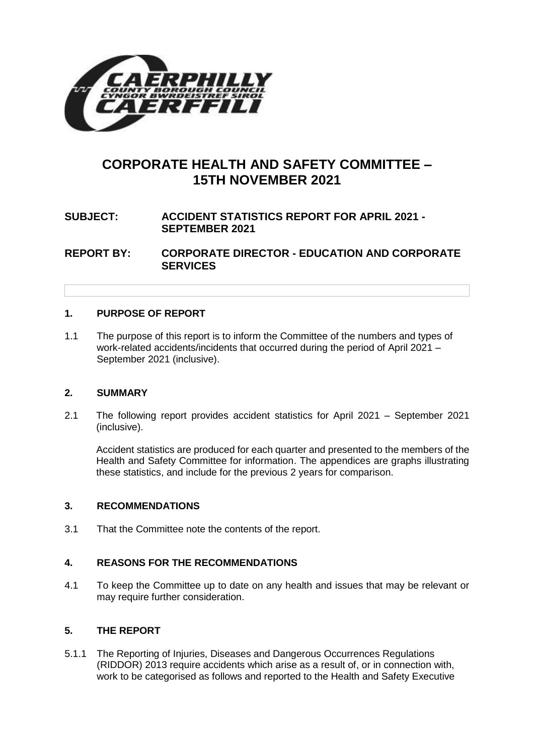

# **CORPORATE HEALTH AND SAFETY COMMITTEE – 15TH NOVEMBER 2021**

# **SUBJECT: ACCIDENT STATISTICS REPORT FOR APRIL 2021 - SEPTEMBER 2021**

**REPORT BY: CORPORATE DIRECTOR - EDUCATION AND CORPORATE SERVICES**

# **1. PURPOSE OF REPORT**

1.1 The purpose of this report is to inform the Committee of the numbers and types of work-related accidents/incidents that occurred during the period of April 2021 – September 2021 (inclusive).

# **2. SUMMARY**

2.1 The following report provides accident statistics for April 2021 – September 2021 (inclusive).

Accident statistics are produced for each quarter and presented to the members of the Health and Safety Committee for information. The appendices are graphs illustrating these statistics, and include for the previous 2 years for comparison.

# **3. RECOMMENDATIONS**

3.1 That the Committee note the contents of the report.

# **4. REASONS FOR THE RECOMMENDATIONS**

4.1 To keep the Committee up to date on any health and issues that may be relevant or may require further consideration.

# **5. THE REPORT**

5.1.1 The Reporting of Injuries, Diseases and Dangerous Occurrences Regulations (RIDDOR) 2013 require accidents which arise as a result of, or in connection with, work to be categorised as follows and reported to the Health and Safety Executive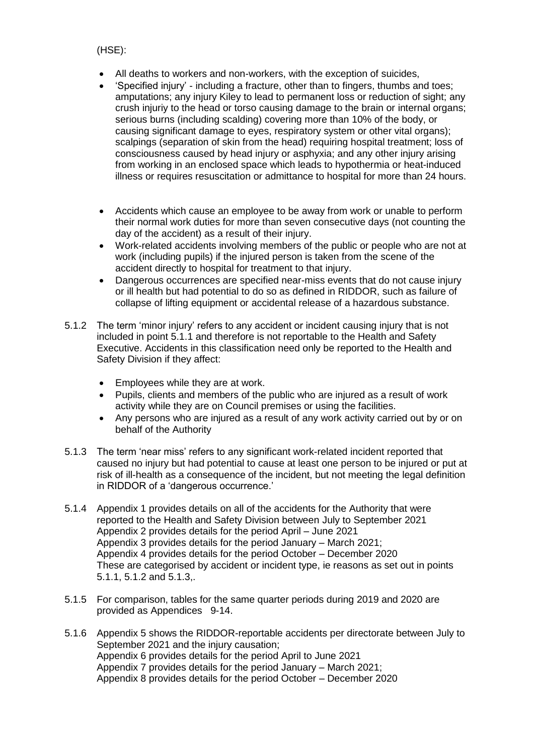(HSE):

- All deaths to workers and non-workers, with the exception of suicides,
- 'Specified injury' including a fracture, other than to fingers, thumbs and toes; amputations; any injury Kiley to lead to permanent loss or reduction of sight; any crush injuriy to the head or torso causing damage to the brain or internal organs; serious burns (including scalding) covering more than 10% of the body, or causing significant damage to eyes, respiratory system or other vital organs); scalpings (separation of skin from the head) requiring hospital treatment; loss of consciousness caused by head injury or asphyxia; and any other injury arising from working in an enclosed space which leads to hypothermia or heat-induced illness or requires resuscitation or admittance to hospital for more than 24 hours.
- Accidents which cause an employee to be away from work or unable to perform their normal work duties for more than seven consecutive days (not counting the day of the accident) as a result of their injury.
- Work-related accidents involving members of the public or people who are not at work (including pupils) if the injured person is taken from the scene of the accident directly to hospital for treatment to that injury.
- Dangerous occurrences are specified near-miss events that do not cause injury or ill health but had potential to do so as defined in RIDDOR, such as failure of collapse of lifting equipment or accidental release of a hazardous substance.
- 5.1.2 The term 'minor injury' refers to any accident or incident causing injury that is not included in point 5.1.1 and therefore is not reportable to the Health and Safety Executive. Accidents in this classification need only be reported to the Health and Safety Division if they affect:
	- Employees while they are at work.
	- Pupils, clients and members of the public who are injured as a result of work activity while they are on Council premises or using the facilities.
	- Any persons who are injured as a result of any work activity carried out by or on behalf of the Authority
- 5.1.3 The term 'near miss' refers to any significant work-related incident reported that caused no injury but had potential to cause at least one person to be injured or put at risk of ill-health as a consequence of the incident, but not meeting the legal definition in RIDDOR of a 'dangerous occurrence.'
- 5.1.4 Appendix 1 provides details on all of the accidents for the Authority that were reported to the Health and Safety Division between July to September 2021 Appendix 2 provides details for the period April – June 2021 Appendix 3 provides details for the period January – March 2021; Appendix 4 provides details for the period October – December 2020 These are categorised by accident or incident type, ie reasons as set out in points 5.1.1, 5.1.2 and 5.1.3,.
- 5.1.5 For comparison, tables for the same quarter periods during 2019 and 2020 are provided as Appendices 9-14.
- 5.1.6 Appendix 5 shows the RIDDOR-reportable accidents per directorate between July to September 2021 and the injury causation; Appendix 6 provides details for the period April to June 2021 Appendix 7 provides details for the period January – March 2021; Appendix 8 provides details for the period October – December 2020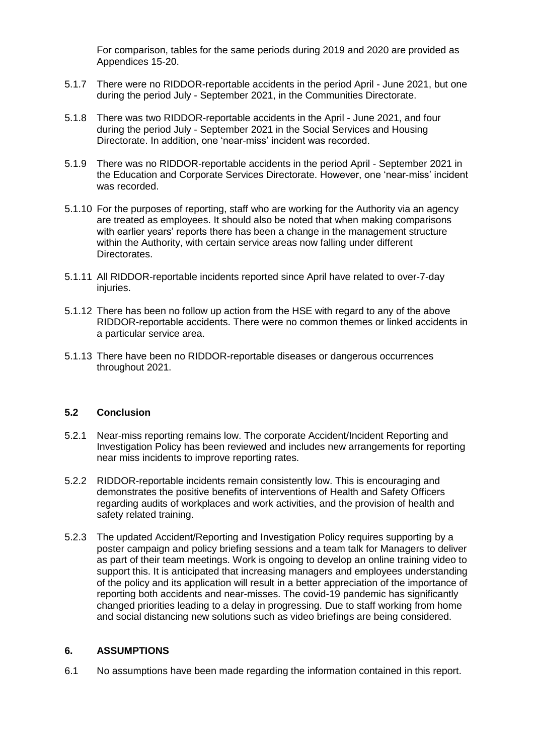For comparison, tables for the same periods during 2019 and 2020 are provided as Appendices 15-20.

- 5.1.7 There were no RIDDOR-reportable accidents in the period April June 2021, but one during the period July - September 2021, in the Communities Directorate.
- 5.1.8 There was two RIDDOR-reportable accidents in the April June 2021, and four during the period July - September 2021 in the Social Services and Housing Directorate. In addition, one 'near-miss' incident was recorded.
- 5.1.9 There was no RIDDOR-reportable accidents in the period April September 2021 in the Education and Corporate Services Directorate. However, one 'near-miss' incident was recorded.
- 5.1.10 For the purposes of reporting, staff who are working for the Authority via an agency are treated as employees. It should also be noted that when making comparisons with earlier years' reports there has been a change in the management structure within the Authority, with certain service areas now falling under different Directorates.
- 5.1.11 All RIDDOR-reportable incidents reported since April have related to over-7-day injuries.
- 5.1.12 There has been no follow up action from the HSE with regard to any of the above RIDDOR-reportable accidents. There were no common themes or linked accidents in a particular service area.
- 5.1.13 There have been no RIDDOR-reportable diseases or dangerous occurrences throughout 2021.

#### **5.2 Conclusion**

- 5.2.1 Near-miss reporting remains low. The corporate Accident/Incident Reporting and Investigation Policy has been reviewed and includes new arrangements for reporting near miss incidents to improve reporting rates.
- 5.2.2 RIDDOR-reportable incidents remain consistently low. This is encouraging and demonstrates the positive benefits of interventions of Health and Safety Officers regarding audits of workplaces and work activities, and the provision of health and safety related training.
- 5.2.3 The updated Accident/Reporting and Investigation Policy requires supporting by a poster campaign and policy briefing sessions and a team talk for Managers to deliver as part of their team meetings. Work is ongoing to develop an online training video to support this. It is anticipated that increasing managers and employees understanding of the policy and its application will result in a better appreciation of the importance of reporting both accidents and near-misses. The covid-19 pandemic has significantly changed priorities leading to a delay in progressing. Due to staff working from home and social distancing new solutions such as video briefings are being considered.

#### **6. ASSUMPTIONS**

6.1 No assumptions have been made regarding the information contained in this report.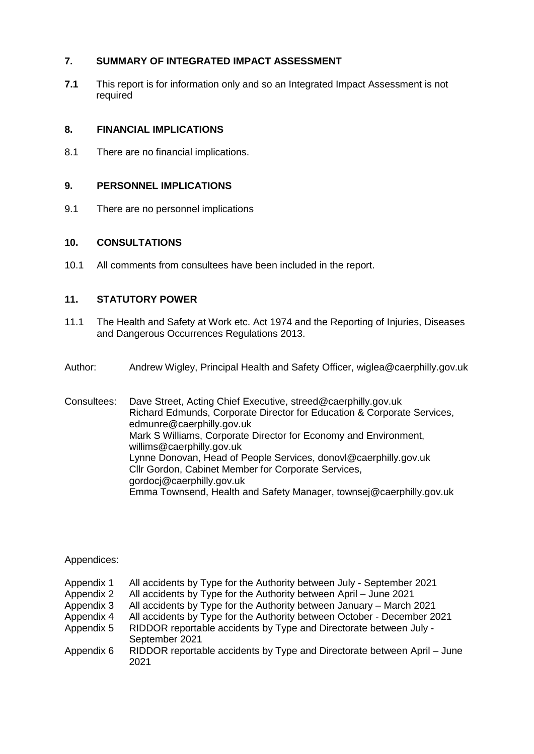# **7. SUMMARY OF INTEGRATED IMPACT ASSESSMENT**

**7.1** This report is for information only and so an Integrated Impact Assessment is not required

# **8. FINANCIAL IMPLICATIONS**

8.1 There are no financial implications.

# **9. PERSONNEL IMPLICATIONS**

9.1 There are no personnel implications

### **10. CONSULTATIONS**

10.1 All comments from consultees have been included in the report.

# **11. STATUTORY POWER**

- 11.1 The Health and Safety at Work etc. Act 1974 and the Reporting of Injuries, Diseases and Dangerous Occurrences Regulations 2013.
- Author: Andrew Wigley, Principal Health and Safety Officer, wiglea@caerphilly.gov.uk

Consultees: Dave Street, Acting Chief Executive, streed@caerphilly.gov.uk Richard Edmunds, Corporate Director for Education & Corporate Services, [edmunre@caerphilly.gov.uk](mailto:edmunre@caerphilly.gov.uk) Mark S Williams, Corporate Director for Economy and Environment, willims@caerphilly.gov.uk Lynne Donovan, Head of People Services, donovl@caerphilly.gov.uk Cllr Gordon, Cabinet Member for Corporate Services, gordocj@caerphilly.gov.uk Emma Townsend, Health and Safety Manager, townsej@caerphilly.gov.uk

# Appendices:

| Appendix 1 | All accidents by Type for the Authority between July - September 2021            |
|------------|----------------------------------------------------------------------------------|
| Appendix 2 | All accidents by Type for the Authority between April - June 2021                |
| Appendix 3 | All accidents by Type for the Authority between January - March 2021             |
| Appendix 4 | All accidents by Type for the Authority between October - December 2021          |
| Appendix 5 | RIDDOR reportable accidents by Type and Directorate between July -               |
|            | September 2021                                                                   |
| Appendix 6 | RIDDOR reportable accidents by Type and Directorate between April – June<br>2021 |